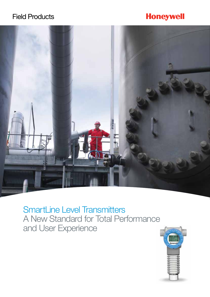# Field Products

# **Honeywell**



SmartLine Level Transmitters A New Standard for Total Performance and User Experience

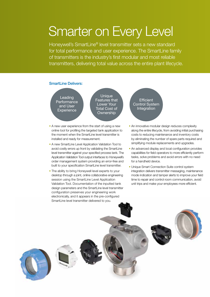# Smarter on Every Level

Honeywell's SmartLine® level transmitter sets a new standard for total performance and user experience. The SmartLine family of transmitters is the industry's first modular and most reliable transmitters, delivering total value across the entire plant lifecycle.

## SmartLine Delivers:

Leading **Performance** and User **Experience** 

**Unique** Features that Lower Your Total Cost of **Ownership** 

- A new user experience from the start of using a new online tool for profiling the targeted tank application to the moment when the SmartLine level transmitter is installed and ready for measurement.
- A new SmartLine Level Application Validation Tool to avoid costly errors up front by validating the SmartLine level transmitter against your specified process tank. The Application Validation Tool output interfaces to Honeywell's order management system providing an error-free and built to your specification SmartLine level transmitter.
- The ability to bring Honeywell level experts to your desktop through a joint, online collaborative engineering session using the SmartLine Level Application Validation Tool. Documentation of the inputted tank design parameters and the SmartLine level transmitter configuration preserves your engineering work electronically, and it appears in the pre-configured SmartLine level transmitter delivered to you.

**Efficient** Control System Integration

- An innovative modular design reduces complexity along the entire lifecycle, from avoiding initial purchasing costs to reducing maintenance and inventory costs by eliminating the number of spare parts required and simplifying module replacements and upgrades.
- An advanced display and local configuration provides capabilities for field operators to more efficiently perform tasks, solve problems and avoid errors with no need for a handheld device.
- Unique Smart Connection Suite control system integration delivers transmitter messaging, maintenance mode indication and tamper alerts to improve your field time to repair and control room communication, avoid unit trips and make your employees more efficient.

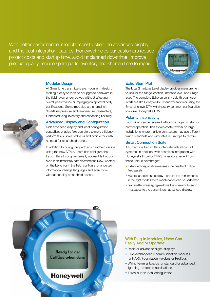With better performance, modular construction, an advanced display and the best integration features, Honeywell helps our customers reduce project costs and startup time, avoid unplanned downtime, improve product quality, reduce spare parts inventory and shorten time to repair.



#### Modular Design

All SmartLine transmitters are modular in design, making it easy to replace or upgrade hardware in the field, even under power, without affecting overall performance or impinging on approval body certifications. Some modules are shared with SmartLine pressure and temperature transmitters, further reducing inventory and enhancing flexibility.

#### Advanced Display and Configuration

Rich advanced display and local configuration capabilities enables field operators to more efficiently perform tasks, solve problems and avoid errors with no need for a handheld device.

In addition to configuring with any handheld device using the new DTMs, users can configure the transmitters through externally accessible buttons, even in an intrinsically safe environment. Now, whether on the bench or in the field, configure, change tag information, change languages and even more without needing a handheld device.

## Echo Stem Plot

The local SmartLine Level display provides measurement values for the flange location, interface level, and Ullage level. The complete Echo curve is visible through user interfaces like Honeywell's Experion® Station or using the SmartLine level DTM with industry common configuration tools like Honeywell's FDM.

#### Polarity Insensitivity

Loop wiring can be reversed without damaging or effecting normal operation. This avoids costly rework on large installations where multiple contractors may use different wiring standards and eliminates return trips to re-wire.

#### Smart Connection Suite

All SmartLine transmitters integrate with all control systems. In addition, with seamless integration with Honeywell's Experion® PKS, operators benefit from these unique advantages:

- Extended diagnostics—assess the health of critical field assets
- Maintenance status display—ensure the transmitter is in the right mode before maintenance can be performed
- Transmitter messaging—allows the operator to send messages to the transmitters' advanced display.



### With Plug-in Modules, Users Can Easily Add or Upgrade:

- Basic or advanced digital displays
- Field-exchangeable communication modules for HART, Foundation Fieldbus or Profibus
- Wiring terminal boards for standard or advanced lightning-protected applications
- Three-button local configuration.